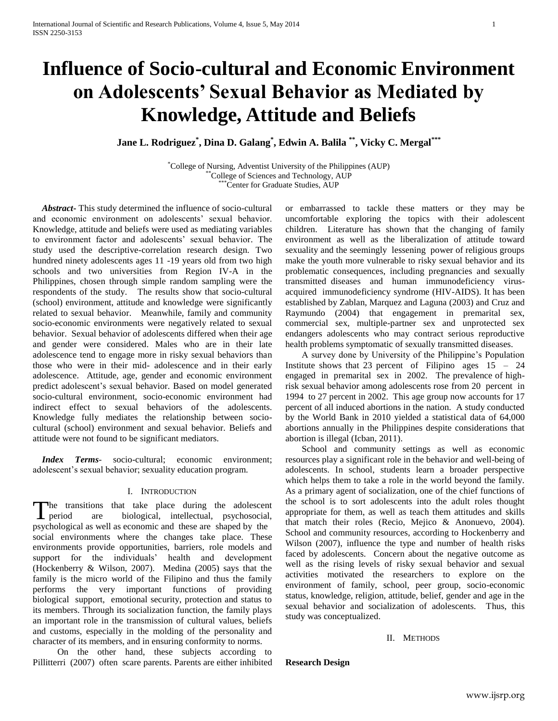# **Influence of Socio-cultural and Economic Environment on Adolescents' Sexual Behavior as Mediated by Knowledge, Attitude and Beliefs**

**Jane L. Rodriguez\* , Dina D. Galang\* , Edwin A. Balila \*\* , Vicky C. Mergal\*\*\***

\*College of Nursing, Adventist University of the Philippines (AUP) \*\*College of Sciences and Technology, AUP \*\*\*Center for Graduate Studies, AUP

 *Abstract***-** This study determined the influence of socio-cultural and economic environment on adolescents' sexual behavior. Knowledge, attitude and beliefs were used as mediating variables to environment factor and adolescents' sexual behavior. The study used the descriptive-correlation research design. Two hundred ninety adolescents ages 11 -19 years old from two high schools and two universities from Region IV-A in the Philippines, chosen through simple random sampling were the respondents of the study. The results show that socio-cultural (school) environment, attitude and knowledge were significantly related to sexual behavior. Meanwhile, family and community socio-economic environments were negatively related to sexual behavior. Sexual behavior of adolescents differed when their age and gender were considered. Males who are in their late adolescence tend to engage more in risky sexual behaviors than those who were in their mid- adolescence and in their early adolescence. Attitude, age, gender and economic environment predict adolescent's sexual behavior. Based on model generated socio-cultural environment, socio-economic environment had indirect effect to sexual behaviors of the adolescents. Knowledge fully mediates the relationship between sociocultural (school) environment and sexual behavior. Beliefs and attitude were not found to be significant mediators.

 *Index Terms*- socio-cultural; economic environment; adolescent's sexual behavior; sexuality education program.

# I. INTRODUCTION

The transitions that take place during the adolescent are biological, intellectual, psychosocial, psychological as well as economic and these are shaped by the social environments where the changes take place. These environments provide opportunities, barriers, role models and support for the individuals' health and development (Hockenberry & Wilson, 2007). Medina (2005) says that the family is the micro world of the Filipino and thus the family performs the very important functions of providing biological support, emotional security, protection and status to its members. Through its socialization function, the family plays an important role in the transmission of cultural values, beliefs and customs, especially in the molding of the personality and character of its members, and in ensuring conformity to norms.  $\Gamma$  period

On the other hand, these subjects according to Pillitterri (2007) often scare parents. Parents are either inhibited or embarrassed to tackle these matters or they may be uncomfortable exploring the topics with their adolescent children. Literature has shown that the changing of family environment as well as the liberalization of attitude toward sexuality and the seemingly lessening power of religious groups make the youth more vulnerable to risky sexual behavior and its problematic consequences, including pregnancies and sexually transmitted diseases and human immunodeficiency virusacquired immunodeficiency syndrome (HIV-AIDS). It has been established by Zablan, Marquez and Laguna (2003) and Cruz and Raymundo (2004) that engagement in premarital sex, commercial sex, multiple-partner sex and unprotected sex endangers adolescents who may contract serious reproductive health problems symptomatic of sexually transmitted diseases.

 A survey done by University of the Philippine's Population Institute shows that 23 percent of Filipino ages  $15 - 24$ engaged in premarital sex in 2002. The prevalence of highrisk sexual behavior among adolescents rose from 20 percent in 1994 to 27 percent in 2002. This age group now accounts for 17 percent of all induced abortions in the nation. A study conducted by the World Bank in 2010 yielded a statistical data of 64,000 abortions annually in the Philippines despite considerations that abortion is illegal (Icban, 2011).

School and community settings as well as economic resources play a significant role in the behavior and well-being of adolescents. In school, students learn a broader perspective which helps them to take a role in the world beyond the family. As a primary agent of socialization, one of the chief functions of the school is to sort adolescents into the adult roles thought appropriate for them, as well as teach them attitudes and skills that match their roles (Recio, Mejico & Anonuevo, 2004). School and community resources, according to Hockenberry and Wilson (2007), influence the type and number of health risks faced by adolescents. Concern about the negative outcome as well as the rising levels of risky sexual behavior and sexual activities motivated the researchers to explore on the environment of family, school, peer group, socio-economic status, knowledge, religion, attitude, belief, gender and age in the sexual behavior and socialization of adolescents. Thus, this study was conceptualized.

## II. METHODS

**Research Design**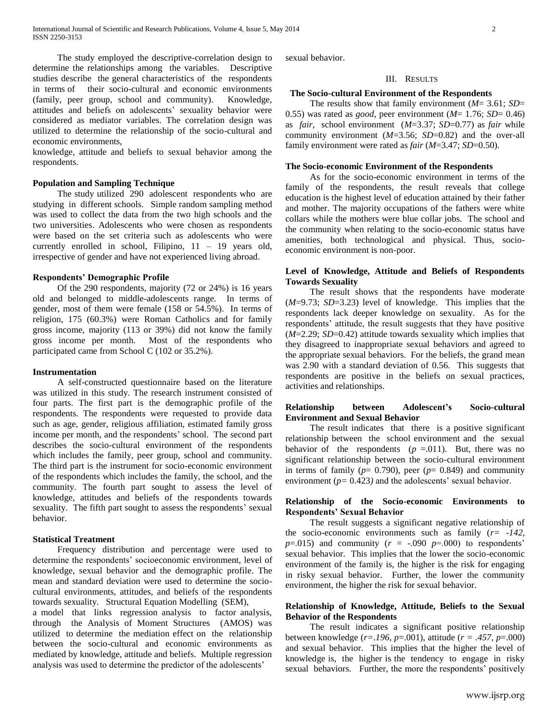The study employed the descriptive-correlation design to determine the relationships among the variables. Descriptive studies describe the general characteristics of the respondents in terms of their socio-cultural and economic environments (family, peer group, school and community). Knowledge, attitudes and beliefs on adolescents' sexuality behavior were considered as mediator variables. The correlation design was utilized to determine the relationship of the socio-cultural and economic environments,

knowledge, attitude and beliefs to sexual behavior among the respondents.

### **Population and Sampling Technique**

 The study utilized 290 adolescent respondents who are studying in different schools. Simple random sampling method was used to collect the data from the two high schools and the two universities. Adolescents who were chosen as respondents were based on the set criteria such as adolescents who were currently enrolled in school, Filipino, 11 – 19 years old, irrespective of gender and have not experienced living abroad.

#### **Respondents' Demographic Profile**

Of the 290 respondents, majority (72 or 24%) is 16 years old and belonged to middle-adolescents range. In terms of gender, most of them were female (158 or 54.5%). In terms of religion, 175 (60.3%) were Roman Catholics and for family gross income, majority (113 or 39%) did not know the family gross income per month. Most of the respondents who participated came from School C (102 or 35.2%).

#### **Instrumentation**

A self-constructed questionnaire based on the literature was utilized in this study. The research instrument consisted of four parts. The first part is the demographic profile of the respondents. The respondents were requested to provide data such as age, gender, religious affiliation, estimated family gross income per month, and the respondents' school. The second part describes the socio-cultural environment of the respondents which includes the family, peer group, school and community. The third part is the instrument for socio-economic environment of the respondents which includes the family, the school, and the community. The fourth part sought to assess the level of knowledge, attitudes and beliefs of the respondents towards sexuality. The fifth part sought to assess the respondents' sexual behavior.

#### **Statistical Treatment**

Frequency distribution and percentage were used to determine the respondents' socioeconomic environment, level of knowledge, sexual behavior and the demographic profile. The mean and standard deviation were used to determine the sociocultural environments, attitudes, and beliefs of the respondents towards sexuality. Structural Equation Modelling (SEM),

a model that links regression analysis to factor analysis, through the Analysis of Moment Structures (AMOS) was utilized to determine the mediation effect on the relationship between the socio-cultural and economic environments as mediated by knowledge, attitude and beliefs. Multiple regression analysis was used to determine the predictor of the adolescents'

sexual behavior.

#### III. RESULTS

#### **The Socio-cultural Environment of the Respondents**

The results show that family environment (*M*= 3.61; *SD*= 0.55) was rated as *good*, peer environment (*M*= 1.76; *SD*= 0.46) as *fair*, school environment (*M*=3.37; *SD*=0.77) as *fair* while community environment (*M*=3.56; *SD*=0.82) and the over-all family environment were rated as *fair* (*M*=3.47; *SD*=0.50).

#### **The Socio-economic Environment of the Respondents**

As for the socio-economic environment in terms of the family of the respondents, the result reveals that college education is the highest level of education attained by their father and mother. The majority occupations of the fathers were white collars while the mothers were blue collar jobs. The school and the community when relating to the socio-economic status have amenities, both technological and physical. Thus, socioeconomic environment is non-poor.

# **Level of Knowledge, Attitude and Beliefs of Respondents Towards Sexuality**

The result shows that the respondents have moderate (*M*=9.73; *SD*=3.23) level of knowledge. This implies that the respondents lack deeper knowledge on sexuality. As for the respondents' attitude, the result suggests that they have positive (*M*=2.29; *SD*=0.42) attitude towards sexuality which implies that they disagreed to inappropriate sexual behaviors and agreed to the appropriate sexual behaviors. For the beliefs, the grand mean was 2.90 with a standard deviation of 0.56. This suggests that respondents are positive in the beliefs on sexual practices, activities and relationships.

# **Relationship between Adolescent's Socio-cultural Environment and Sexual Behavior**

The result indicates that there is a positive significant relationship between the school environment and the sexual behavior of the respondents  $(p = .011)$ . But, there was no significant relationship between the socio-cultural environment in terms of family ( $p= 0.790$ ), peer ( $p= 0.849$ ) and community environment (*p=* 0.423*)* and the adolescents' sexual behavior.

# **Relationship of the Socio-economic Environments to Respondents' Sexual Behavior**

The result suggests a significant negative relationship of the socio-economic environments such as family (*r= -142*,  $p=0.015$ ) and community ( $r = -.090$   $p=.000$ ) to respondents' sexual behavior. This implies that the lower the socio-economic environment of the family is, the higher is the risk for engaging in risky sexual behavior. Further, the lower the community environment, the higher the risk for sexual behavior.

# **Relationship of Knowledge, Attitude, Beliefs to the Sexual Behavior of the Respondents**

The result indicates a significant positive relationship between knowledge (*r=.196*, *p*=.001), attitude (*r = .457*, *p*=.000) and sexual behavior. This implies that the higher the level of knowledge is, the higher is the tendency to engage in risky sexual behaviors. Further, the more the respondents' positively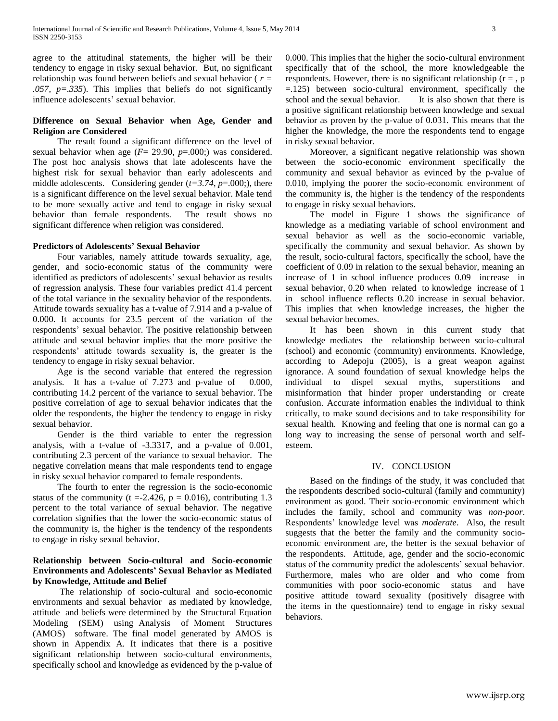agree to the attitudinal statements, the higher will be their tendency to engage in risky sexual behavior. But, no significant relationship was found between beliefs and sexual behavior ( *r = .057, p=.335*). This implies that beliefs do not significantly influence adolescents' sexual behavior.

# **Difference on Sexual Behavior when Age, Gender and Religion are Considered**

 The result found a significant difference on the level of sexual behavior when age (*F*= 29.90, *p*=.000;) was considered. The post hoc analysis shows that late adolescents have the highest risk for sexual behavior than early adolescents and middle adolescents. Considering gender (*t=3.74*, *p*=.000;), there is a significant difference on the level sexual behavior. Male tend to be more sexually active and tend to engage in risky sexual behavior than female respondents. The result shows no significant difference when religion was considered.

## **Predictors of Adolescents' Sexual Behavior**

 Four variables, namely attitude towards sexuality, age, gender, and socio-economic status of the community were identified as predictors of adolescents' sexual behavior as results of regression analysis. These four variables predict 41.4 percent of the total variance in the sexuality behavior of the respondents. Attitude towards sexuality has a t-value of 7.914 and a p-value of 0.000. It accounts for 23.5 percent of the variation of the respondents' sexual behavior. The positive relationship between attitude and sexual behavior implies that the more positive the respondents' attitude towards sexuality is, the greater is the tendency to engage in risky sexual behavior.

Age is the second variable that entered the regression analysis. It has a t-value of 7.273 and p-value of 0.000, contributing 14.2 percent of the variance to sexual behavior. The positive correlation of age to sexual behavior indicates that the older the respondents, the higher the tendency to engage in risky sexual behavior.

 Gender is the third variable to enter the regression analysis, with a t-value of -3.3317, and a p-value of 0.001, contributing 2.3 percent of the variance to sexual behavior. The negative correlation means that male respondents tend to engage in risky sexual behavior compared to female respondents.

 The fourth to enter the regression is the socio-economic status of the community (t = -2.426,  $p = 0.016$ ), contributing 1.3 percent to the total variance of sexual behavior. The negative correlation signifies that the lower the socio-economic status of the community is, the higher is the tendency of the respondents to engage in risky sexual behavior.

# **Relationship between Socio-cultural and Socio-economic Environments and Adolescents' Sexual Behavior as Mediated by Knowledge, Attitude and Belief**

The relationship of socio-cultural and socio-economic environments and sexual behavior as mediated by knowledge, attitude and beliefs were determined by the Structural Equation Modeling (SEM) using Analysis of Moment Structures (AMOS) software. The final model generated by AMOS is shown in Appendix A. It indicates that there is a positive significant relationship between socio-cultural environments, specifically school and knowledge as evidenced by the p-value of 0.000. This implies that the higher the socio-cultural environment specifically that of the school, the more knowledgeable the respondents. However, there is no significant relationship ( $r = p$ , p =.125) between socio-cultural environment, specifically the school and the sexual behavior. It is also shown that there is a positive significant relationship between knowledge and sexual behavior as proven by the p-value of 0.031. This means that the higher the knowledge, the more the respondents tend to engage in risky sexual behavior.

Moreover, a significant negative relationship was shown between the socio-economic environment specifically the community and sexual behavior as evinced by the p-value of 0.010, implying the poorer the socio-economic environment of the community is, the higher is the tendency of the respondents to engage in risky sexual behaviors.

 The model in Figure 1 shows the significance of knowledge as a mediating variable of school environment and sexual behavior as well as the socio-economic variable, specifically the community and sexual behavior. As shown by the result, socio-cultural factors, specifically the school, have the coefficient of 0.09 in relation to the sexual behavior, meaning an increase of 1 in school influence produces 0.09 increase in sexual behavior, 0.20 when related to knowledge increase of 1 in school influence reflects 0.20 increase in sexual behavior. This implies that when knowledge increases, the higher the sexual behavior becomes.

It has been shown in this current study that knowledge mediates the relationship between socio-cultural (school) and economic (community) environments. Knowledge, according to Adepoju (2005), is a great weapon against ignorance. A sound foundation of sexual knowledge helps the individual to dispel sexual myths, superstitions and misinformation that hinder proper understanding or create confusion. Accurate information enables the individual to think critically, to make sound decisions and to take responsibility for sexual health. Knowing and feeling that one is normal can go a long way to increasing the sense of personal worth and selfesteem.

#### IV. CONCLUSION

Based on the findings of the study, it was concluded that the respondents described socio-cultural (family and community) environment as good. Their socio-economic environment which includes the family, school and community was *non-poor*. Respondents' knowledge level was *moderate*. Also, the result suggests that the better the family and the community socioeconomic environment are, the better is the sexual behavior of the respondents. Attitude, age, gender and the socio-economic status of the community predict the adolescents' sexual behavior. Furthermore, males who are older and who come from communities with poor socio-economic status and have positive attitude toward sexuality (positively disagree with the items in the questionnaire) tend to engage in risky sexual behaviors.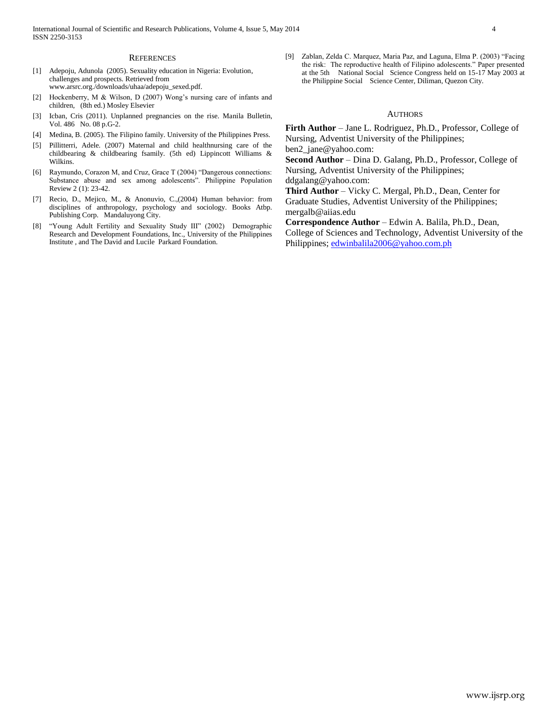#### **REFERENCES**

- [1] Adepoju, Adunola (2005). Sexuality education in Nigeria: Evolution, challenges and prospects. Retrieved from www.arsrc.org./downloads/uhaa/adepoju\_sexed.pdf.
- [2] Hockenberry, M & Wilson, D (2007) Wong's nursing care of infants and children, (8th ed.) Mosley Elsevier
- [3] Icban, Cris (2011). Unplanned pregnancies on the rise. Manila Bulletin, Vol. 486 No. 08 p.G-2.
- [4] Medina, B. (2005). The Filipino family. University of the Philippines Press.
- [5] Pillitterri, Adele. (2007) Maternal and child healthnursing care of the childbearing & childbearing fsamily. (5th ed) Lippincott Williams & Wilkins.
- [6] Raymundo, Corazon M, and Cruz, Grace T (2004) "Dangerous connections: Substance abuse and sex among adolescents". Philippine Population Review 2 (1): 23-42.
- [7] Recio, D., Mejico, M., & Anonuvio, C.,(2004) Human behavior: from disciplines of anthropology, psychology and sociology. Books Atbp. Publishing Corp. Mandaluyong City.
- [8] "Young Adult Fertility and Sexuality Study III" (2002) Demographic Research and Development Foundations, Inc., University of the Philippines Institute , and The David and Lucile Parkard Foundation.

[9] Zablan, Zelda C. Marquez, Maria Paz, and Laguna, Elma P. (2003) "Facing the risk: The reproductive health of Filipino adolescents." Paper presented at the 5th National Social Science Congress held on 15-17 May 2003 at the Philippine Social Science Center, Diliman, Quezon City.

#### AUTHORS

**Firth Author** – Jane L. Rodriguez, Ph.D., Professor, College of Nursing, Adventist University of the Philippines;

ben2\_jane@yahoo.com:

**Second Author** – Dina D. Galang, Ph.D., Professor, College of Nursing, Adventist University of the Philippines;

ddgalang@yahoo.com:

**Third Author** – Vicky C. Mergal, Ph.D., Dean, Center for Graduate Studies, Adventist University of the Philippines; mergalb@aiias.edu

**Correspondence Author** – Edwin A. Balila, Ph.D., Dean, College of Sciences and Technology, Adventist University of the Philippines; [edwinbalila2006@yahoo.com.ph](mailto:edwinbalila2006@yahoo.com.ph)